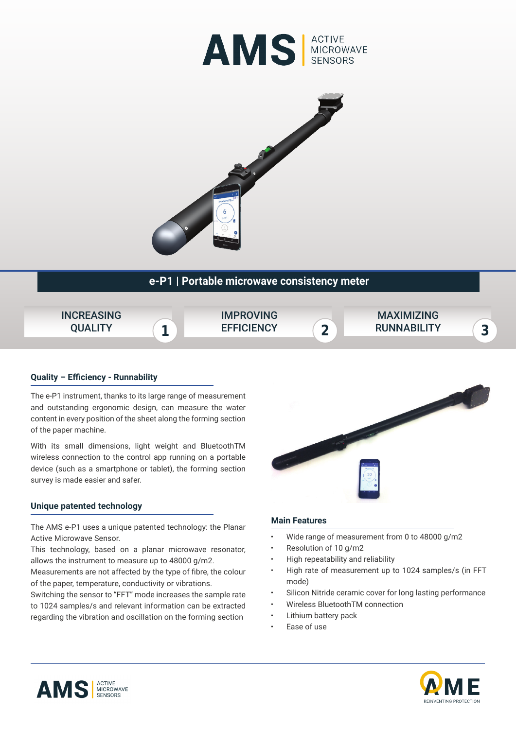



# **e-P1 | Portable microwave consistency meter**



## **Quality – Efficiency - Runnability**

The e-P1 instrument, thanks to its large range of measurement and outstanding ergonomic design, can measure the water content in every position of the sheet along the forming section of the paper machine.

With its small dimensions, light weight and BluetoothTM wireless connection to the control app running on a portable device (such as a smartphone or tablet), the forming section survey is made easier and safer.

## **Unique patented technology**

The AMS e-P1 uses a unique patented technology: the Planar Active Microwave Sensor.

This technology, based on a planar microwave resonator, allows the instrument to measure up to 48000 g/m2.

Measurements are not affected by the type of fibre, the colour of the paper, temperature, conductivity or vibrations.

Switching the sensor to "FFT" mode increases the sample rate to 1024 samples/s and relevant information can be extracted regarding the vibration and oscillation on the forming section



## **Main Features**

- Wide range of measurement from 0 to 48000 g/m2
- Resolution of 10 g/m2
- High repeatability and reliability
- High rate of measurement up to 1024 samples/s (in FFT mode)
- Silicon Nitride ceramic cover for long lasting performance
- Wireless BluetoothTM connection
- Lithium battery pack
- Ease of use